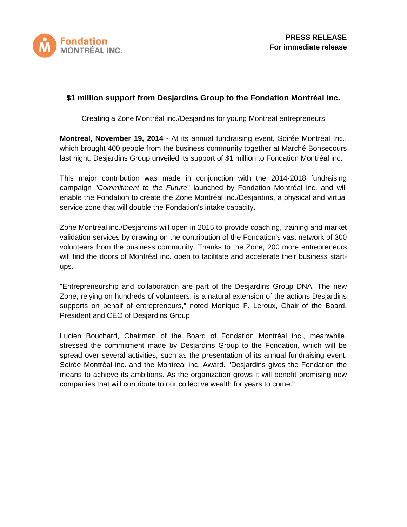

# **\$1 million support from Desjardins Group to the Fondation Montréal inc.**

Creating a Zone Montréal inc./Desjardins for young Montreal entrepreneurs

**Montreal, November 19, 2014 -** At its annual fundraising event, Soirée Montréal Inc., which brought 400 people from the business community together at Marché Bonsecours last night, Desjardins Group unveiled its support of \$1 million to Fondation Montréal inc.

This major contribution was made in conjunction with the 2014-2018 fundraising campaign *"Commitment to the Future*" launched by Fondation Montréal inc. and will enable the Fondation to create the Zone Montréal inc./Desjardins, a physical and virtual service zone that will double the Fondation's intake capacity.

Zone Montréal inc./Desjardins will open in 2015 to provide coaching, training and market validation services by drawing on the contribution of the Fondation's vast network of 300 volunteers from the business community. Thanks to the Zone, 200 more entrepreneurs will find the doors of Montréal inc. open to facilitate and accelerate their business startups.

"Entrepreneurship and collaboration are part of the Desjardins Group DNA. The new Zone, relying on hundreds of volunteers, is a natural extension of the actions Desjardins supports on behalf of entrepreneurs," noted Monique F. Leroux, Chair of the Board, President and CEO of Desjardins Group.

Lucien Bouchard, Chairman of the Board of Fondation Montréal inc., meanwhile, stressed the commitment made by Desjardins Group to the Fondation, which will be spread over several activities, such as the presentation of its annual fundraising event, Soirée Montréal inc. and the Montreal inc. Award. "Desjardins gives the Fondation the means to achieve its ambitions. As the organization grows it will benefit promising new companies that will contribute to our collective wealth for years to come."